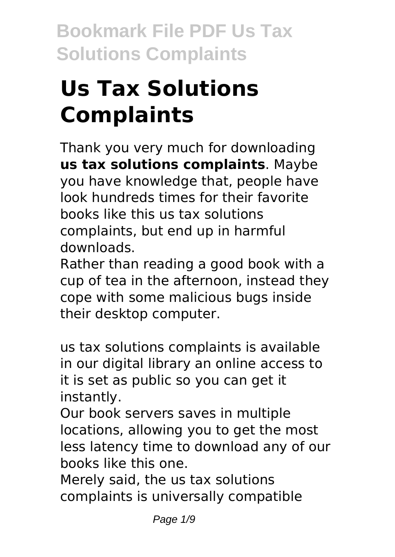# **Us Tax Solutions Complaints**

Thank you very much for downloading **us tax solutions complaints**. Maybe you have knowledge that, people have look hundreds times for their favorite books like this us tax solutions complaints, but end up in harmful downloads.

Rather than reading a good book with a cup of tea in the afternoon, instead they cope with some malicious bugs inside their desktop computer.

us tax solutions complaints is available in our digital library an online access to it is set as public so you can get it instantly.

Our book servers saves in multiple locations, allowing you to get the most less latency time to download any of our books like this one.

Merely said, the us tax solutions complaints is universally compatible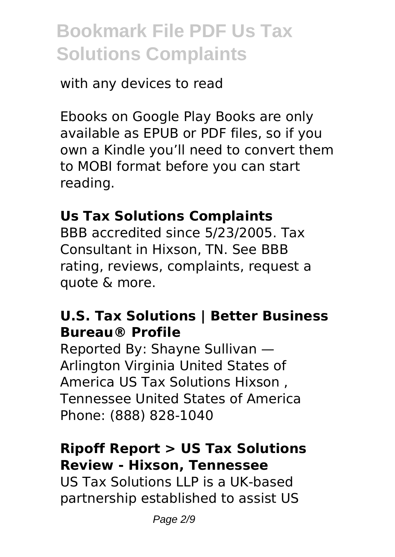#### with any devices to read

Ebooks on Google Play Books are only available as EPUB or PDF files, so if you own a Kindle you'll need to convert them to MOBI format before you can start reading.

#### **Us Tax Solutions Complaints**

BBB accredited since 5/23/2005. Tax Consultant in Hixson, TN. See BBB rating, reviews, complaints, request a quote & more.

#### **U.S. Tax Solutions | Better Business Bureau® Profile**

Reported By: Shayne Sullivan — Arlington Virginia United States of America US Tax Solutions Hixson , Tennessee United States of America Phone: (888) 828-1040

#### **Ripoff Report > US Tax Solutions Review - Hixson, Tennessee**

US Tax Solutions LLP is a UK-based partnership established to assist US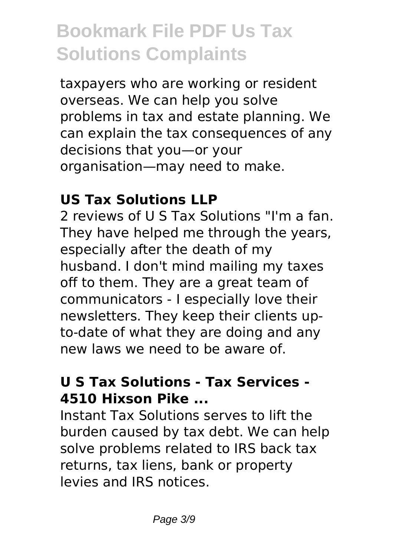taxpayers who are working or resident overseas. We can help you solve problems in tax and estate planning. We can explain the tax consequences of any decisions that you—or your organisation—may need to make.

#### **US Tax Solutions LLP**

2 reviews of U S Tax Solutions "I'm a fan. They have helped me through the years, especially after the death of my husband. I don't mind mailing my taxes off to them. They are a great team of communicators - I especially love their newsletters. They keep their clients upto-date of what they are doing and any new laws we need to be aware of.

#### **U S Tax Solutions - Tax Services - 4510 Hixson Pike ...**

Instant Tax Solutions serves to lift the burden caused by tax debt. We can help solve problems related to IRS back tax returns, tax liens, bank or property levies and IRS notices.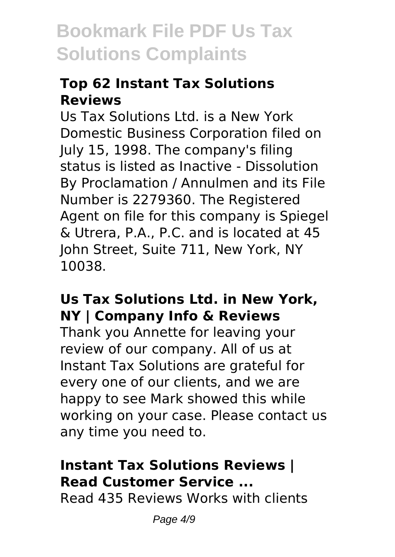#### **Top 62 Instant Tax Solutions Reviews**

Us Tax Solutions Ltd. is a New York Domestic Business Corporation filed on July 15, 1998. The company's filing status is listed as Inactive - Dissolution By Proclamation / Annulmen and its File Number is 2279360. The Registered Agent on file for this company is Spiegel & Utrera, P.A., P.C. and is located at 45 John Street, Suite 711, New York, NY 10038.

#### **Us Tax Solutions Ltd. in New York, NY | Company Info & Reviews**

Thank you Annette for leaving your review of our company. All of us at Instant Tax Solutions are grateful for every one of our clients, and we are happy to see Mark showed this while working on your case. Please contact us any time you need to.

### **Instant Tax Solutions Reviews | Read Customer Service ...**

Read 435 Reviews Works with clients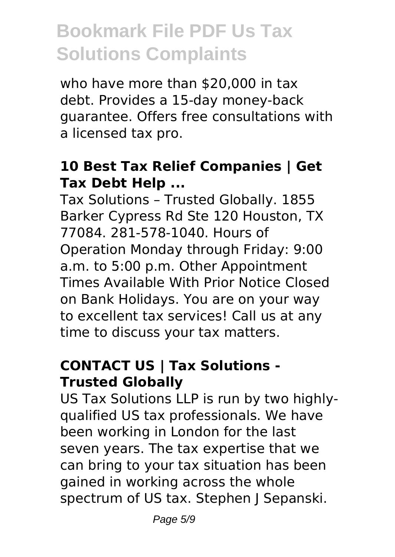who have more than \$20,000 in tax debt. Provides a 15-day money-back guarantee. Offers free consultations with a licensed tax pro.

#### **10 Best Tax Relief Companies | Get Tax Debt Help ...**

Tax Solutions – Trusted Globally. 1855 Barker Cypress Rd Ste 120 Houston, TX 77084. 281-578-1040. Hours of Operation Monday through Friday: 9:00 a.m. to 5:00 p.m. Other Appointment Times Available With Prior Notice Closed on Bank Holidays. You are on your way to excellent tax services! Call us at any time to discuss your tax matters.

#### **CONTACT US | Tax Solutions - Trusted Globally**

US Tax Solutions LLP is run by two highlyqualified US tax professionals. We have been working in London for the last seven years. The tax expertise that we can bring to your tax situation has been gained in working across the whole spectrum of US tax. Stephen | Sepanski.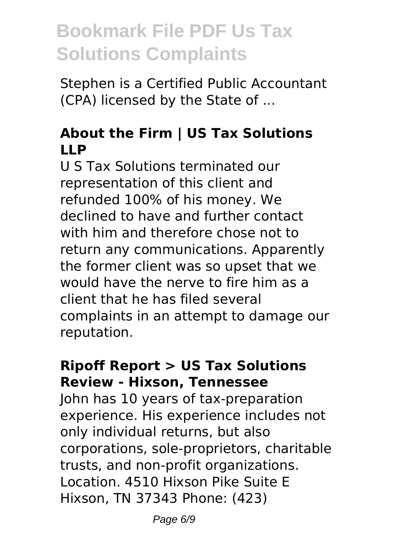Stephen is a Certified Public Accountant (CPA) licensed by the State of ...

#### **About the Firm | US Tax Solutions LLP**

U S Tax Solutions terminated our representation of this client and refunded 100% of his money. We declined to have and further contact with him and therefore chose not to return any communications. Apparently the former client was so upset that we would have the nerve to fire him as a client that he has filed several complaints in an attempt to damage our reputation.

#### **Ripoff Report > US Tax Solutions Review - Hixson, Tennessee**

John has 10 years of tax-preparation experience. His experience includes not only individual returns, but also corporations, sole-proprietors, charitable trusts, and non-profit organizations. Location. 4510 Hixson Pike Suite E Hixson, TN 37343 Phone: (423)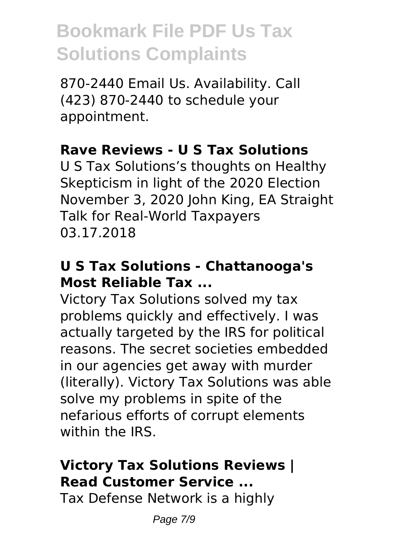870-2440 Email Us. Availability. Call (423) 870-2440 to schedule your appointment.

#### **Rave Reviews - U S Tax Solutions**

U S Tax Solutions's thoughts on Healthy Skepticism in light of the 2020 Election November 3, 2020 John King, EA Straight Talk for Real-World Taxpayers 03.17.2018

#### **U S Tax Solutions - Chattanooga's Most Reliable Tax ...**

Victory Tax Solutions solved my tax problems quickly and effectively. I was actually targeted by the IRS for political reasons. The secret societies embedded in our agencies get away with murder (literally). Victory Tax Solutions was able solve my problems in spite of the nefarious efforts of corrupt elements within the IRS.

### **Victory Tax Solutions Reviews | Read Customer Service ...**

Tax Defense Network is a highly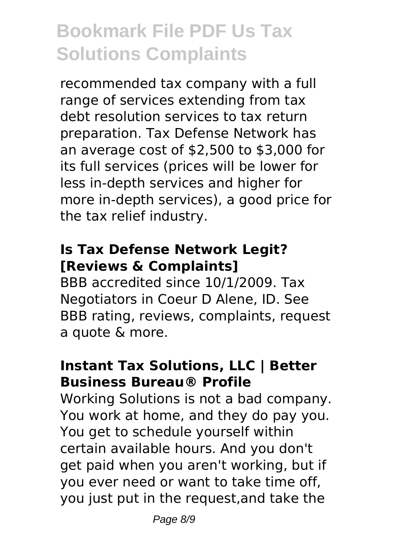recommended tax company with a full range of services extending from tax debt resolution services to tax return preparation. Tax Defense Network has an average cost of \$2,500 to \$3,000 for its full services (prices will be lower for less in-depth services and higher for more in-depth services), a good price for the tax relief industry.

#### **Is Tax Defense Network Legit? [Reviews & Complaints]**

BBB accredited since 10/1/2009. Tax Negotiators in Coeur D Alene, ID. See BBB rating, reviews, complaints, request a quote & more.

#### **Instant Tax Solutions, LLC | Better Business Bureau® Profile**

Working Solutions is not a bad company. You work at home, and they do pay you. You get to schedule yourself within certain available hours. And you don't get paid when you aren't working, but if you ever need or want to take time off, you just put in the request,and take the